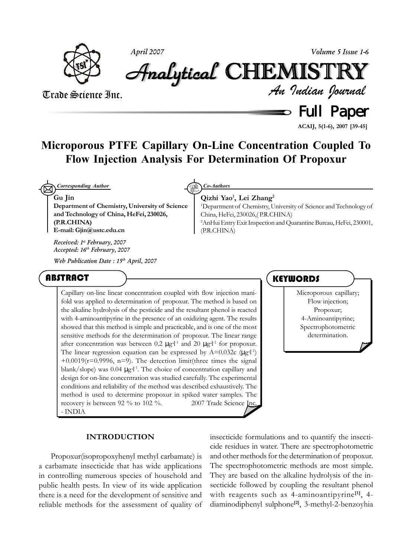

*April 2007 Volume 5 Issue 1-6*

# Analytical Analytical Analytical Analytical Analytical Analytical CHEMISTR CHEMISTR HEMISTR HEMISTRYY

#### Trade Science Inc.

 $\equiv$  Full Paper *An Indian Journal*

**ACAIJ, 5(1-6), 2007 [39-45]**

### **Microporous PTFE Capillary On-Line Concentration Coupled To Flow Injection Analysis For Determination Of Propoxur**

 $\boxtimes$ *Corresponding Author Co-Authors*

**Gu Jin**

**Department of Chemistry, University of Science and Technology of China, HeFei, 230026, (P.R.CHINA) E-mail: Gjin@ustc.edu.cn**

*Received: 1st February, 2007 Accepted: 16th February, 2007*

*Web Publication Date : 15th April, 2007*

#### **ABSTRACT**

Capillary on-line linear concentration coupled with flow injection manifold was applied to determination of propoxur. The method is based on the alkaline hydrolysis of the pesticide and the resultant phenol is reacted with 4-aminoantipyrine in the presence of an oxidizing agent. The results showed that this method is simple and practicable, and is one of the most sensitive methods for the determination of propoxur. The linear range after concentration was between 0.2  $\mu$ g⋅l<sup>-1</sup> and 20  $\mu$ g⋅l<sup>-1</sup> for propoxur. The linear regression equation can be expressed by  $A=0.032c$  ( $\mu g$ <sup>11</sup>)  $+0.0019(r=0.9996, n=9)$ . The detection limit(three times the signal blank/slope) was 0.04 μg⋅l<sup>-1</sup>. The choice of concentration capillary and design for on-line concentration was studied carefully. The experimental conditions and reliability of the method was described exhaustively. The method is used to determine propoxur in spiked water samples. The recovery is between 92 % to 102 %.  $\circ$  2007 Trade Science Inc. - INDIA

#### **INTRODUCTION**

Propoxur(isopropoxyhenyl methyl carbamate) is a carbamate insecticide that has wide applications in controlling numerous species of household and public health pests. In view of its wide application there is a need for the development of sensitive and reliable methods for the assessment of quality of

**Qizhi Yao1 , Lei Zhang2**

1 Department of Chemistry, University of Science and Technology of China, HeFei, 230026,( P.R.CHINA) 2 AnHui Entry Exit Inspection and Quarantine Bureau, HeFei, 230001, (P.R.CHINA)

#### **KEYWORDS**

Microporous capillary; Flow injection; Propoxur; 4-Aminoantipyrine; Spectrophotometric determination.

insecticide formulations and to quantify the insecticide residues in water. There are spectrophotometric and other methods for the determination of propoxur. The spectrophotometric methods are most simple. They are based on the alkaline hydrolysis of the insecticide followed by coupling the resultant phenol with reagents such as 4-aminoantipyrine**[1]**, 4 diaminodiphenyl sulphone**[2]**, 3-methyl-2-benzoyhia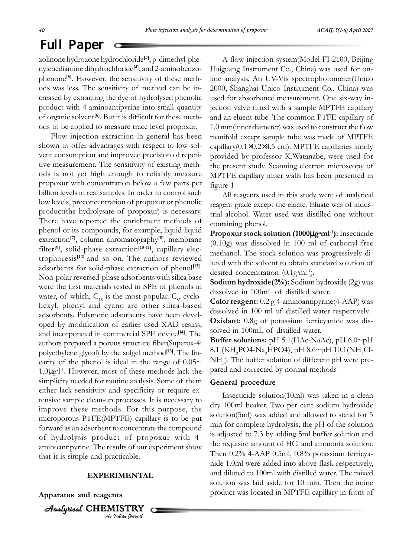## Full Paper

zolinone hydrozone hydrochloride**[3]**, p-dimethyl-phenylenediamine dihydrochloride**[4]**, and 2-aminobenzophenone**[5]**. However, the sensitivity of these methods was less. The sensitivity of method can be increased by extracting the dye of hydrolysed phenolic product with 4-aminoantipyrine into small quantity of organic solvent**[6]**. But it is difficult for these methods to be applied to measure trace level propoxur.

Flow injection extraction in general has been shown to offer advantages with respect to low solvent consumption and improved precision of repetitive measurement. The sensitivity of existing methods is not yet high enough to reliably measure propoxur with concentration below a few parts per billion levels in real samples. In order to control such low levels, preconcentration of propoxur or phenolic product(the hydrolysate of propoxur) is necessary. There have reported the enrichment methods of phenol or its compounds, for example, liquid-liquid extraction**[7]**, column chromatography**[8]**, membrane filter**[9]**, solid-phase extraction**[10-11]**, capillary electrophoresis**[12]** and so on. The authors reviewed adsorbents for solid-phase extraction of phenol**[13]**. Non-polar reversed-phase adsorbents with silica base were the first materials tested in SPE of phenols in water, of which,  $C_{18}$  is the most popular.  $C_{8}$ , cyclohexyl, phenyl and cyano are other silica-based adsorbents. Polymeric adsorbents have been developed by modification of earlier used XAD resins, and incorporated in commercial SPE device**[14]**. The authors prepared a porous structure fiber(Superox-4: polyethylene glycol) by the solgel method**[15]**. The linearity of the phenol is ideal in the range of  $0.05\sim$ 1.0µg⋅l -1. However, most of these methods lack the simplicity needed for routine analysis. Some of them either lack sensitivity and specificity or require extensive sample clean-up processes. It is necessary to improve these methods. For this purpose, the microporous PTFE(MPTFE) capillary is to be put forward as an adsorbent to concentrate the compound of hydrolysis product of propoxur with 4 aminoantipyrine. The results of our experiment show that it is simple and practicable.

#### **EXPERIMENTAL**

*An Indian Journal*

**Apparatus and reagents**

Analytical Analytical Analytical Analytical CHEMISTR HEMISTRY

A flow injection system(Model FI-2100, Beijing Haiguang Instrument Co., China) was used for online analysis. An UV-Vis spectrophotometer(Unico 2000, Shanghai Unico Instrument Co., China) was used for absorbance measurement. One six-way injection valve fitted with a sample MPTFE capillary and an eluent tube. The common PTFE capillary of 1.0 mm(inner diameter) was used to construct the flow manifold except sample tube was made of MPTFE capillary(0.1×0.2×4.5 cm). MPTFE capillaries kindly provided by professor K.Watanabe, were used for the present study. Scanning electron microscopy of MPTFE capillary inner walls has been presented in figure 1

All reagents used in this study were of analytical reagent grade except the eluate. Eluate was of industrial alcohol. Water used was distilled one without containing phenol.

**Propoxur stock solution (1000**µ**g**⋅**ml-1):** Insecticide (0.10g) was dissolved in 100 ml of carbonyl free methanol. The stock solution was progressively diluted with the solvent to obtain standard solution of desired concentration (0.1g⋅ml<sup>-1</sup>).

**Sodium hydroxide(2%):** Sodium hydroxide (2g) was dissolved in 100mL of distilled water.

**Color reagent:** 0.2 g 4-aminoantipyrine(4-AAP) was dissolved in 100 ml of distilled water respectively. **Oxidant:** 0.8g of potassium ferricyanide was dissolved in 100mL of distilled water.

**Buffer solutions:** pH 5.1(HAc-NaAc), pH 6.0~pH 8.1 (KH<sub>2</sub>PO4-Na<sub>2</sub>HPO4), pH 8.6~pH 10.1(NH<sub>4</sub>Cl-NH<sub>3</sub>). The buffer solution of different pH were prepared and corrected by normal methods

#### **General procedure**

Insecticide solution(10ml) was taken in a clean dry 100ml beaker. Two per cent sodium hydroxide solution(5ml) was added and allowed to stand for 5 min for complete hydrolysis; the pH of the solution is adjusted to 7.3 by adding 5ml buffer solution and the requisite amount of HCl and ammonia solution. Then 0.2% 4-AAP 0.5ml, 0.8% potassium ferricyanide 1.0ml were added into above flask respectively, and diluted to 100ml with distilled water. The mixed solution was laid aside for 10 min. Then the imine product was located in MPTFE capillary in front of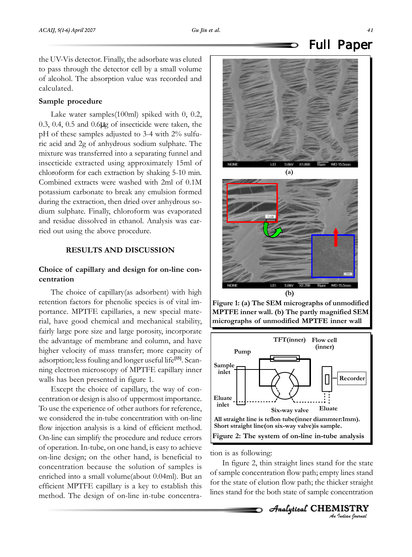the UV-Vis detector. Finally, the adsorbate was eluted to pass through the detector cell by a small volume of alcohol. The absorption value was recorded and calculated.

#### **Sample procedure**

Lake water samples(100ml) spiked with 0, 0.2, 0.3, 0.4, 0.5 and 0.6µg of insecticide were taken, the pH of these samples adjusted to 3-4 with 2% sulfuric acid and 2g of anhydrous sodium sulphate. The mixture was transferred into a separating funnel and insecticide extracted using approximately 15ml of chloroform for each extraction by shaking 5-10 min. Combined extracts were washed with 2ml of 0.1M potassium carbonate to break any emulsion formed during the extraction, then dried over anhydrous sodium sulphate. Finally, chloroform was evaporated and residue dissolved in ethanol. Analysis was carried out using the above procedure.

#### **RESULTS AND DISCUSSION**

#### **Choice of capillary and design for on-line concentration**

The choice of capillary(as adsorbent) with high retention factors for phenolic species is of vital importance. MPTFE capillaries, a new special material, have good chemical and mechanical stability, fairly large pore size and large porosity, incorporate the advantage of membrane and column, and have higher velocity of mass transfer; more capacity of adsorption; less fouling and longer useful life**[15]**. Scanning electron microscopy of MPTFE capillary inner walls has been presented in figure 1.

Except the choice of capillary, the way of concentration or design is also of uppermost importance. To use the experience of other authors for reference, we considered the in-tube concentration with on-line flow injection analysis is a kind of efficient method. On-line can simplify the procedure and reduce errors of operation. In-tube, on one hand, is easy to achieve on-line design; on the other hand, is beneficial to concentration because the solution of samples is enriched into a small volume(about 0.04ml). But an efficient MPTFE capillary is a key to establish this method. The design of on-line in-tube concentra-







tion is as following:

In figure 2, thin straight lines stand for the state of sample concentration flow path; empty lines stand for the state of elution flow path; the thicker straight lines stand for the both state of sample concentration

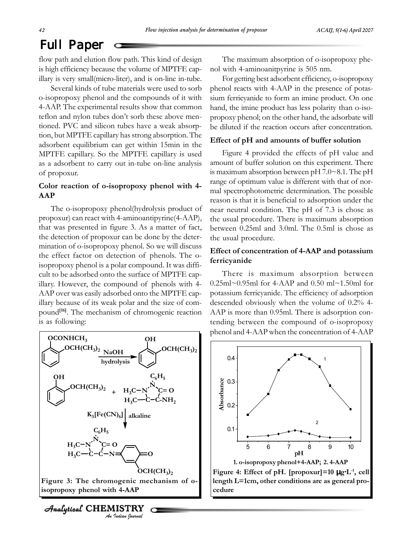### Full Paper

flow path and elution flow path. This kind of design is high efficiency because the volume of MPTFE capillary is very small(micro-liter), and is on-line in-tube.

Several kinds of tube materials were used to sorb o-isopropoxy phenol and the compounds of it with 4-AAP. The experimental results show that common teflon and nylon tubes don't sorb these above mentioned. PVC and silicon tubes have a weak absorption, but MPTFE capillary has strong absorption. The adsorbent equilibrium can get within 15min in the MPTFE capillary. So the MPTFE capillary is used as a adsorbent to carry out in-tube on-line analysis of propoxur.

#### **Color reaction of o-isopropoxy phenol with 4- AAP**

The o-isopropoxy phenol(hydrolysis product of propoxur) can react with 4-aminoantipyrine(4-AAP), that was presented in figure 3. As a matter of fact, the detection of propoxur can be done by the determination of o-isopropoxy phenol. So we will discuss the effect factor on detection of phenols. The oisopropoxy phenol is a polar compound. It was difficult to be adsorbed onto the surface of MPTFE capillary. However, the compound of phenols with 4- AAP over was easily adsorbed onto the MPTFE capillary because of its weak polar and the size of compound**[16]**. The mechanism of chromogenic reaction is as following:



*An Indian Journal*  $A$ nalytical CHEMISTRY

The maximum absorption of o-isopropoxy phenol with 4-aminoanitpyrine is 505 nm.

For getting best adsorbent efficiency, o-isopropoxy phenol reacts with 4-AAP in the presence of potassium ferricyanide to form an imine product. On one hand, the imine product has less polarity than o-isopropoxy phenol; on the other hand, the adsorbate will be diluted if the reaction occurs after concentration.

#### **Effect of pH and amounts of buffer solution**

Figure 4 provided the effects of pH value and amount of buffer solution on this experiment. There is maximum absorption between pH 7.0~8.1. The pH range of optimum value is different with that of normal spectrophotometric determination. The possible reason is that it is beneficial to adsorption under the near neutral condition. The pH of 7.3 is chose as the usual procedure. There is maximum absorption between 0.25ml and 3.0ml. The 0.5ml is chose as the usual procedure.

#### **Effect of concentration of 4-AAP and potassium ferricyanide**

There is maximum absorption between 0.25ml~0.95ml for 4-AAP and 0.50 ml~1.50ml for potassium ferricyanide. The efficiency of adsorption descended obviously when the volume of 0.2% 4- AAP is more than 0.95ml. There is adsorption contending between the compound of o-isopropoxy

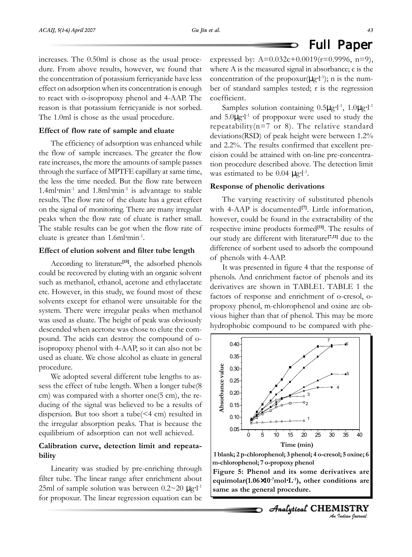#### Full Paper O

increases. The 0.50ml is chose as the usual procedure. From above results, however, we found that the concentration of potassium ferricyanide have less effect on adsorption when its concentration is enough to react with o-isopropoxy phenol and 4-AAP. The reason is that potassium ferricyanide is not sorbed. The 1.0ml is chose as the usual procedure.

#### **Effect of flow rate of sample and eluate**

The efficiency of adsorption was enhanced while the flow of sample increases. The greater the flow rate increases, the more the amounts of sample passes through the surface of MPTFE capillary at same time, the less the time needed. But the flow rate between 1.4ml⋅min-1 and 1.8ml⋅min-1 is advantage to stable results. The flow rate of the eluate has a great effect on the signal of monitoring. There are many irregular peaks when the flow rate of eluate is rather small. The stable results can be got when the flow rate of eluate is greater than 1.6ml⋅min-1.

#### **Effect of elution solvent and filter tube length**

According to literature**[15]**, the adsorbed phenols could be recovered by eluting with an organic solvent such as methanol, ethanol, acetone and ethylacetate etc. However, in this study, we found most of these solvents except for ethanol were unsuitable for the system. There were irregular peaks when methanol was used as eluate. The height of peak was obviously descended when acetone was chose to elute the compound. The acids can destroy the compound of oisopropoxy phenol with 4-AAP, so it can also not be used as eluate. We chose alcohol as eluate in general procedure.

We adopted several different tube lengths to assess the effect of tube length. When a longer tube(8 cm) was compared with a shorter one(5 cm), the reducing of the signal was believed to be a results of dispersion. But too short a tube(<4 cm) resulted in the irregular absorption peaks. That is because the equilibrium of adsorption can not well achieved.

#### **Calibration curve, detection limit and repeatability**

Linearity was studied by pre-enriching through filter tube. The linear range after enrichment about 25ml of sample solution was between  $0.2 \sim 20 \text{ }\mu\text{g·l}^1$ for propoxur. The linear regression equation can be

expressed by:  $A=0.032c+0.0019(r=0.9996, n=9)$ , where A is the measured signal in absorbance; c is the concentration of the propoxur( $\mu$ g⋅l<sup>-1</sup>); n is the number of standard samples tested; r is the regression coefficient.

Samples solution containing  $0.5\mu g·l<sup>-1</sup>$ ,  $1.0\mu g·l<sup>-1</sup>$ and  $5.0\mu g·l<sup>-1</sup>$  of proppoxur were used to study the repeatability( $n=7$  or 8). The relative standard deviations(RSD) of peak height were between 1.2% and 2.2%. The results confirmed that excellent precision could be attained with on-line pre-concentration procedure described above. The detection limit was estimated to be  $0.04 \mu g·l<sup>-1</sup>$ .

#### **Response of phenolic derivations**

The varying reactivity of substituted phenols with 4-AAP is documented<sup>[7]</sup>. Little information, however, could be found in the extractability of the respective imine products formed**[11]**. The results of our study are different with literature**[7,11]** due to the difference of sorbent used to adsorb the compound of phenols with 4-AAP.

It was presented in figure 4 that the response of phenols. And enrichment factor of phenols and its derivatives are shown in TABLE1. TABLE 1 the factors of response and enrichment of o-cresol, opropoxy phenol, m-chlorophenol and oxine are obvious higher than that of phenol. This may be more hydrophobic compound to be compared with phe-



**<sup>1</sup> blank; 2 p-chlorophenol; 3 phenol; 4 o-cresol; 5 oxine; 6 m-chlorophenol; 7 o-propoxy phenol**

**Figure 5: Phenol and its some derivatives are equimolar(1.06**×**10-7mol**⋅**L-1), other conditions are same as the general procedure.**

*An Indian Journal* Analytical CHEMISTRY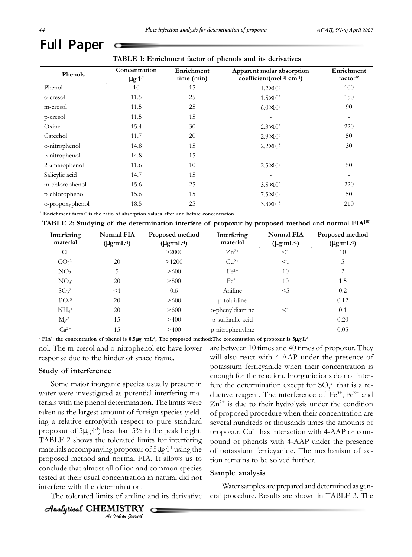|                 | Concentration           | Enrichment | Apparent molar absorption                          | Enrichment               |
|-----------------|-------------------------|------------|----------------------------------------------------|--------------------------|
| Phenols         | $\mu$ g 1 <sup>-1</sup> | time (min) | coefficient(mol <sup>-1</sup> l cm <sup>-1</sup> ) | factor*                  |
| Phenol          | 10                      | 15         | $1.2 \times 10^6$                                  | 100                      |
| o-cresol        | 11.5                    | 25         | $1.5 \times 10^6$                                  | 150                      |
| m-cresol        | 11.5                    | 25         | $6.0 \times 10^5$                                  | 90                       |
| p-cresol        | 11.5                    | 15         |                                                    | $\qquad \qquad -$        |
| Oxine           | 15.4                    | 30         | $2.3 \times 10^{6}$                                | 220                      |
| Catechol        | 11.7                    | 20         | $2.9 \times 10^6$                                  | 50                       |
| o-nitrophenol   | 14.8                    | 15         | $2.2 \times 10^5$                                  | 30                       |
| p-nitrophenol   | 14.8                    | 15         |                                                    |                          |
| 2-aminophenol   | 11.6                    | 10         | $2.5 \times 10^5$                                  | 50                       |
| Salicylic acid  | 14.7                    | 15         |                                                    | $\overline{\phantom{a}}$ |
| m-chlorophenol  | 15.6                    | 25         | $3.5 \times 10^{6}$                                | 220                      |
| p-chlorophenol  | 15.6                    | 15         | $7.5 \times 10^5$                                  | 50                       |
| o-propoxyphenol | 18.5                    | 25         | $3.3 \times 10^{5}$                                | 210                      |

**\* Enrichment factor\* is the ratio of absorption values after and before concentration**

| TABLE 2: Studying of the determination interfere of propoxur by proposed method and normal FIA <sup>[10]</sup> |
|----------------------------------------------------------------------------------------------------------------|
|----------------------------------------------------------------------------------------------------------------|

| Interfering                  | Normal FIA               | Proposed method         | Interfering       | <b>Normal FIA</b>       | Proposed method         |
|------------------------------|--------------------------|-------------------------|-------------------|-------------------------|-------------------------|
| material                     | $(\mu g \cdot mL^{-1})$  | $(\mu g \cdot mL^{-1})$ | material          | $(\mu g \cdot mL^{-1})$ | $(\mu g \cdot mL^{-1})$ |
| Cl <sup>2</sup>              | $\overline{\phantom{a}}$ | >2000                   | $Zn^{2+}$         | $<$ 1                   | 10                      |
| CO <sub>3</sub> <sup>2</sup> | 20                       | >1200                   | $Cu2+$            | $<$ 1                   | 5                       |
| NO <sub>2</sub>              | 5                        | >600                    | $Fe2+$            | 10                      | 2                       |
| NO <sub>3</sub>              | 20                       | > 800                   | $Fe3+$            | 10                      | 1.5                     |
| SO <sub>3</sub> <sup>2</sup> | <1                       | 0.6                     | Aniline           | $<$ 5                   | 0.2                     |
| PO <sub>4</sub> <sup>3</sup> | 20                       | >600                    | p-toluidine       |                         | 0.12                    |
| $NH_4$ <sup>+</sup>          | 20                       | >600                    | o-phenyldiamine   | $<$ 1                   | 0.1                     |
| $Mg^{2+}$                    | 15                       | >400                    | p-sulfanilic acid |                         | 0.20                    |
| $Ca^{2+}$                    | 15                       | >400                    | p-nitrophenyline  |                         | 0.05                    |

**a FIA\* : the concentration of phenol is 0.5**µ**g** ⋅**mL-1; The proposed method:The concentration of propoxur is 5**µ**g**⋅**L-1**

nol. The m-cresol and o-nitrophenol etc have lower response due to the hinder of space frame.

#### **Study of interference**

Some major inorganic species usually present in water were investigated as potential interfering materials with the phenol determination. The limits were taken as the largest amount of foreign species yielding a relative error(with respect to pure standard propoxur of 5µg⋅l<sup>-1</sup>) less than 5% in the peak height. TABLE 2 shows the tolerated limits for interfering materials accompanying propoxur of 5µg⋅l<sup>-1</sup> using the proposed method and normal FIA. It allows us to conclude that almost all of ion and common species tested at their usual concentration in natural did not interfere with the determination.

The tolerated limits of aniline and its derivative

```
An Indian Journal
Analytical CHEMISTRY
```
are between 10 times and 40 times of propoxur. They will also react with 4-AAP under the presence of potassium ferricyanide when their concentration is enough for the reaction. Inorganic ions do not interfere the determination except for  $SO_3^2$  that is a reductive reagent. The interference of  $Fe^{3+}$ ,  $Fe^{2+}$  and  $Zn^{2+}$  is due to their hydrolysis under the condition of proposed procedure when their concentration are several hundreds or thousands times the amounts of propoxur.  $Cu^{2+}$  has interaction with 4-AAP or compound of phenols with 4-AAP under the presence of potassium ferricyanide. The mechanism of action remains to be solved further.

#### **Sample analysis**

Water samples are prepared and determined as general procedure. Results are shown in TABLE 3. The

Full Paper